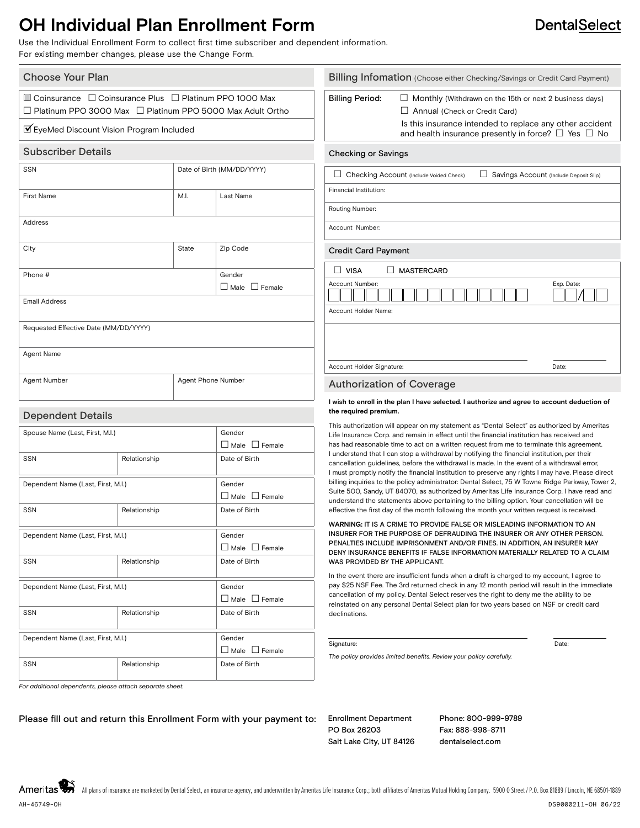### **OH Individual Plan Enrollment Form**

Use the Individual Enrollment Form to collect first time subscriber and dependent information. For existing member changes, please use the Change Form.

| Choose Your Plan                                                                                                                                                                    |                            |                                              | Billing Infomation (Choose either Checking/Savings or Credit Card Payment)                                                                                                                |                                                                                                                                                                                                                              |       |
|-------------------------------------------------------------------------------------------------------------------------------------------------------------------------------------|----------------------------|----------------------------------------------|-------------------------------------------------------------------------------------------------------------------------------------------------------------------------------------------|------------------------------------------------------------------------------------------------------------------------------------------------------------------------------------------------------------------------------|-------|
| $\Box$ Coinsurance $\Box$ Coinsurance Plus $\Box$ Platinum PPO 1000 Max<br>□ Platinum PPO 3000 Max □ Platinum PPO 5000 Max Adult Ortho<br>■ EyeMed Discount Vision Program Included |                            |                                              | <b>Billing Period:</b>                                                                                                                                                                    | $\Box$ Monthly (Withdrawn on the 15th or next 2 business days)<br>Annual (Check or Credit Card)<br>Is this insurance intended to replace any other accident<br>and health insurance presently in force? $\Box$ Yes $\Box$ No |       |
| <b>Subscriber Details</b>                                                                                                                                                           |                            |                                              | <b>Checking or Savings</b>                                                                                                                                                                |                                                                                                                                                                                                                              |       |
| SSN                                                                                                                                                                                 | Date of Birth (MM/DD/YYYY) |                                              | Checking Account (Include Voided Check)<br>Savings Account (Include Deposit Slip)<br>ப                                                                                                    |                                                                                                                                                                                                                              |       |
| <b>First Name</b>                                                                                                                                                                   | M.I.                       | Last Name                                    | Financial Institution:                                                                                                                                                                    |                                                                                                                                                                                                                              |       |
|                                                                                                                                                                                     |                            | Routing Number:                              |                                                                                                                                                                                           |                                                                                                                                                                                                                              |       |
| Address                                                                                                                                                                             |                            |                                              | Account Number:                                                                                                                                                                           |                                                                                                                                                                                                                              |       |
| City                                                                                                                                                                                | State                      | Zip Code                                     | <b>Credit Card Payment</b>                                                                                                                                                                |                                                                                                                                                                                                                              |       |
| Phone #                                                                                                                                                                             |                            | Gender                                       | $\Box$ VISA                                                                                                                                                                               | $\Box$ MASTERCARD                                                                                                                                                                                                            |       |
|                                                                                                                                                                                     |                            | Account Number:<br>$\Box$ Male $\Box$ Female |                                                                                                                                                                                           | Exp. Date:                                                                                                                                                                                                                   |       |
| <b>Email Address</b>                                                                                                                                                                |                            |                                              | Account Holder Name:                                                                                                                                                                      |                                                                                                                                                                                                                              |       |
| Requested Effective Date (MM/DD/YYYY)                                                                                                                                               |                            |                                              |                                                                                                                                                                                           |                                                                                                                                                                                                                              |       |
|                                                                                                                                                                                     |                            |                                              |                                                                                                                                                                                           |                                                                                                                                                                                                                              |       |
| Agent Name                                                                                                                                                                          |                            |                                              | Account Holder Signature:                                                                                                                                                                 |                                                                                                                                                                                                                              | Date: |
| <b>Agent Number</b>                                                                                                                                                                 | Agent Phone Number         |                                              | <b>Authorization of Coverage</b>                                                                                                                                                          |                                                                                                                                                                                                                              |       |
|                                                                                                                                                                                     |                            |                                              | I wish to enroll in the plan I have selected. I authorize and agree to account deduction of<br>the required premium.                                                                      |                                                                                                                                                                                                                              |       |
| <b>Dependent Details</b>                                                                                                                                                            |                            |                                              |                                                                                                                                                                                           |                                                                                                                                                                                                                              |       |
| Spouse Name (Last, First, M.I.)                                                                                                                                                     |                            | Gender                                       | This authorization will appear on my statement as "Dental Select" as authorized by Ameritas<br>Life Insurance Corp. and remain in effect until the financial institution has received and |                                                                                                                                                                                                                              |       |
|                                                                                                                                                                                     |                            | $\Box$ Male $\Box$ Female                    | has had reasonable time to act on a written request from me to terminate this agreement.                                                                                                  |                                                                                                                                                                                                                              |       |

 $\Box$  Male  $\Box$  Female

 $\Box$  Male  $\Box$  Female

 $\Box$  Male  $\Box$  Female

 $\Box$  Male  $\Box$  Female

has had reasonable time to act on a written request from me to terminate this agreement. I understand that I can stop a withdrawal by notifying the financial institution, per their cancellation guidelines, before the withdrawal is made. In the event of a withdrawal error, I must promptly notify the financial institution to preserve any rights I may have. Please direct billing inquiries to the policy administrator: Dental Select, 75 W Towne Ridge Parkway, Tower 2, Suite 500, Sandy, UT 84070, as authorized by Ameritas Life Insurance Corp. I have read and understand the statements above pertaining to the billing option. Your cancellation will be effective the first day of the month following the month your written request is received.

#### W**ARNING:** IT IS A CRIME TO PROVIDE FALSE OR MISLEADING INFORMATION TO AN INSURER FOR THE PURPOSE OF DEFRAUDING THE INSURER OR ANY OTHER PERSON. PENALTIES INCLUDE IMPRISONMENT AND/OR FINES. IN ADDITION, AN INSURER MAY DENY INSURANCE BENEFITS IF FALSE INFORMATION MATERIALLY RELATED TO A CLAIM WAS PROVIDED BY THE APPLICANT.

In the event there are insufficient funds when a draft is charged to my account, I agree to pay \$25 NSF Fee. The 3rd returned check in any 12 month period will result in the immediate cancellation of my policy. Dental Select reserves the right to deny me the ability to be reinstated on any personal Dental Select plan for two years based on NSF or credit card declinations.

#### Signature: Date: Date: Date: Date: Date: Date: Date: Date: Date: Date: Date: Date: Date: Date: Date: Date: Date: Date: Date: Date: Date: Date: Date: Date: Date: Date: Date: Date: Date: Date: Date: Date: Date: Date: Date: D

*The policy provides limited benefits. Review your policy carefully.*

*For additional dependents, please attach separate sheet.*

Please fill out and return this Enrollment Form with your payment to: Enrollment Department

SSN Relationship Date of Birth

SSN Relationship Date of Birth

SSN Relationship Relationship Date of Birth

SSN Relationship Date of Birth

SSN Relationship Date of Birth

Dependent Name (Last, First, M.I.) Gender

Dependent Name (Last, First, M.I.) Gender

Dependent Name (Last, First, M.I.) Gender

Dependent Name (Last, First, M.I.) Cender

PO Box 26203 Salt Lake City, UT 84126 Phone: 800-999-9789 Fax: 888-998-8711 dentalselect.com

Ameritas

**DentalSelect**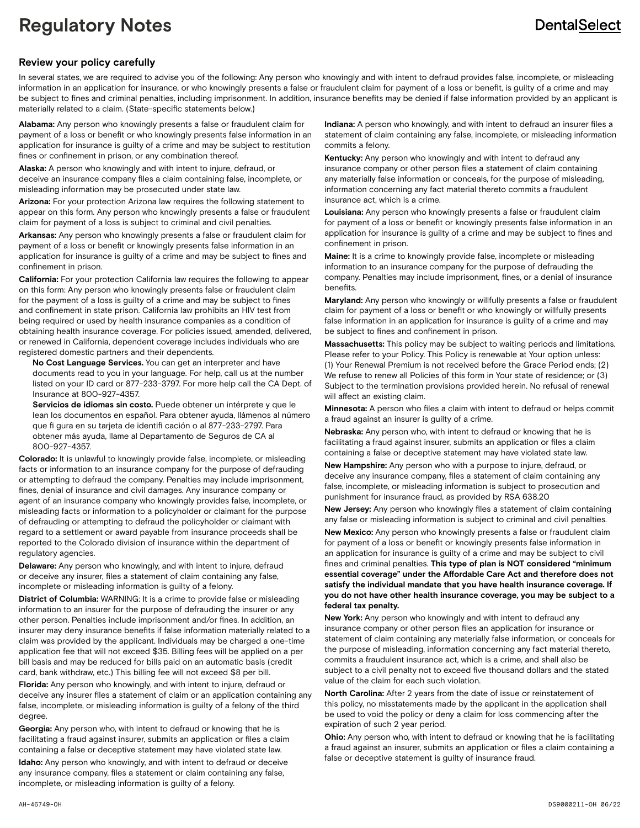# **Regulatory Notes**

## **DentalSelect**

#### **Review your policy carefully**

In several states, we are required to advise you of the following: Any person who knowingly and with intent to defraud provides false, incomplete, or misleading information in an application for insurance, or who knowingly presents a false or fraudulent claim for payment of a loss or benefit, is guilty of a crime and may be subject to fines and criminal penalties, including imprisonment. In addition, insurance benefits may be denied if false information provided by an applicant is materially related to a claim. (State-specific statements below.)

**Alabama:** Any person who knowingly presents a false or fraudulent claim for payment of a loss or benefit or who knowingly presents false information in an application for insurance is guilty of a crime and may be subject to restitution fines or confinement in prison, or any combination thereof.

**Alaska:** A person who knowingly and with intent to injure, defraud, or deceive an insurance company files a claim containing false, incomplete, or misleading information may be prosecuted under state law.

**Arizona:** For your protection Arizona law requires the following statement to appear on this form. Any person who knowingly presents a false or fraudulent claim for payment of a loss is subject to criminal and civil penalties.

**Arkansas:** Any person who knowingly presents a false or fraudulent claim for payment of a loss or benefit or knowingly presents false information in an application for insurance is guilty of a crime and may be subject to fines and confinement in prison.

**California:** For your protection California law requires the following to appear on this form: Any person who knowingly presents false or fraudulent claim for the payment of a loss is guilty of a crime and may be subject to fines and confinement in state prison. California law prohibits an HIV test from being required or used by health insurance companies as a condition of obtaining health insurance coverage. For policies issued, amended, delivered, or renewed in California, dependent coverage includes individuals who are registered domestic partners and their dependents.

 **No Cost Language Services.** You can get an interpreter and have documents read to you in your language. For help, call us at the number listed on your ID card or 877-233-3797. For more help call the CA Dept. of Insurance at 800-927-4357.

 **Servicios de idiomas sin costo.** Puede obtener un intérprete y que le lean los documentos en español. Para obtener ayuda, llámenos al número que fi gura en su tarjeta de identifi cación o al 877-233-2797. Para obtener más ayuda, llame al Departamento de Seguros de CA al 800-927-4357.

**Colorado:** It is unlawful to knowingly provide false, incomplete, or misleading facts or information to an insurance company for the purpose of defrauding or attempting to defraud the company. Penalties may include imprisonment, fines, denial of insurance and civil damages. Any insurance company or agent of an insurance company who knowingly provides false, incomplete, or misleading facts or information to a policyholder or claimant for the purpose of defrauding or attempting to defraud the policyholder or claimant with regard to a settlement or award payable from insurance proceeds shall be reported to the Colorado division of insurance within the department of regulatory agencies.

**Delaware:** Any person who knowingly, and with intent to injure, defraud or deceive any insurer, files a statement of claim containing any false, incomplete or misleading information is guilty of a felony.

**District of Columbia:** WARNING: It is a crime to provide false or misleading information to an insurer for the purpose of defrauding the insurer or any other person. Penalties include imprisonment and/or fines. In addition, an insurer may deny insurance benefits if false information materially related to a claim was provided by the applicant. Individuals may be charged a one-time application fee that will not exceed \$35. Billing fees will be applied on a per bill basis and may be reduced for bills paid on an automatic basis (credit card, bank withdraw, etc.) This billing fee will not exceed \$8 per bill.

**Florida:** Any person who knowingly, and with intent to injure, defraud or deceive any insurer files a statement of claim or an application containing any false, incomplete, or misleading information is guilty of a felony of the third degree.

**Georgia:** Any person who, with intent to defraud or knowing that he is facilitating a fraud against insurer, submits an application or files a claim containing a false or deceptive statement may have violated state law.

**Idaho:** Any person who knowingly, and with intent to defraud or deceive any insurance company, files a statement or claim containing any false, incomplete, or misleading information is guilty of a felony.

**Indiana:** A person who knowingly, and with intent to defraud an insurer files a statement of claim containing any false, incomplete, or misleading information commits a felony.

**Kentucky:** Any person who knowingly and with intent to defraud any insurance company or other person files a statement of claim containing any materially false information or conceals, for the purpose of misleading, information concerning any fact material thereto commits a fraudulent insurance act, which is a crime.

**Louisiana:** Any person who knowingly presents a false or fraudulent claim for payment of a loss or benefit or knowingly presents false information in an application for insurance is guilty of a crime and may be subject to fines and confinement in prison.

**Maine:** It is a crime to knowingly provide false, incomplete or misleading information to an insurance company for the purpose of defrauding the company. Penalties may include imprisonment, fines, or a denial of insurance benefits.

**Maryland:** Any person who knowingly or willfully presents a false or fraudulent claim for payment of a loss or benefit or who knowingly or willfully presents false information in an application for insurance is guilty of a crime and may be subject to fines and confinement in prison.

**Massachusetts:** This policy may be subject to waiting periods and limitations. Please refer to your Policy. This Policy is renewable at Your option unless: (1) Your Renewal Premium is not received before the Grace Period ends; (2) We refuse to renew all Policies of this form in Your state of residence; or (3) Subject to the termination provisions provided herein. No refusal of renewal will affect an existing claim.

**Minnesota:** A person who files a claim with intent to defraud or helps commit a fraud against an insurer is guilty of a crime.

**Nebraska:** Any person who, with intent to defraud or knowing that he is facilitating a fraud against insurer, submits an application or files a claim containing a false or deceptive statement may have violated state law.

**New Hampshire:** Any person who with a purpose to injure, defraud, or deceive any insurance company, files a statement of claim containing any false, incomplete, or misleading information is subject to prosecution and punishment for insurance fraud, as provided by RSA 638.20

**New Jersey:** Any person who knowingly files a statement of claim containing any false or misleading information is subject to criminal and civil penalties.

**New Mexico:** Any person who knowingly presents a false or fraudulent claim for payment of a loss or benefit or knowingly presents false information in an application for insurance is guilty of a crime and may be subject to civil fines and criminal penalties. **This type of plan is NOT considered "minimum essential coverage" under the Affordable Care Act and therefore does not satisfy the individual mandate that you have health insurance coverage. If you do not have other health insurance coverage, you may be subject to a federal tax penalty.**

**New York:** Any person who knowingly and with intent to defraud any insurance company or other person files an application for insurance or statement of claim containing any materially false information, or conceals for the purpose of misleading, information concerning any fact material thereto, commits a fraudulent insurance act, which is a crime, and shall also be subject to a civil penalty not to exceed five thousand dollars and the stated value of the claim for each such violation.

**North Carolina:** After 2 years from the date of issue or reinstatement of this policy, no misstatements made by the applicant in the application shall be used to void the policy or deny a claim for loss commencing after the expiration of such 2 year period.

**Ohio:** Any person who, with intent to defraud or knowing that he is facilitating a fraud against an insurer, submits an application or files a claim containing a false or deceptive statement is guilty of insurance fraud.